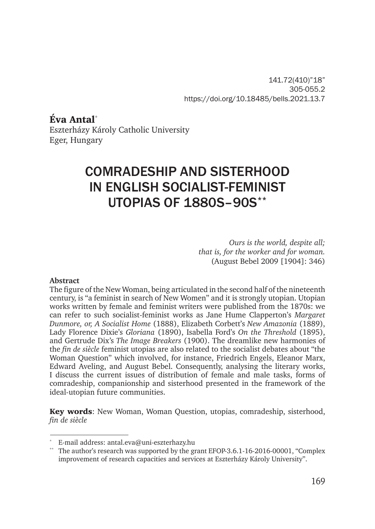141.72(410)"18" 305-055.2 https://doi.org/10.18485/bells.2021.13.7

Éva Antal\* Eszterházy Károly Catholic University Eger, Hungary

# COMRADESHIP AND SISTERHOOD IN ENGLISH SOCIALIST-FEMINIST UTOPIAS OF 1880S–90S\*\*

*Ours is the world, despite all; that is, for the worker and for woman.*  (August Bebel 2009 [1904]: 346)

#### **Abstract**

The figure of the New Woman, being articulated in the second half of the nineteenth century, is "a feminist in search of New Women" and it is strongly utopian. Utopian works written by female and feminist writers were published from the 1870s: we can refer to such socialist-feminist works as Jane Hume Clapperton's *Margaret Dunmore, or, A Socialist Home* (1888), Elizabeth Corbett's *New Amazonia* (1889), Lady Florence Dixie's *Gloriana* (1890), Isabella Ford's *On the Threshold* (1895), and Gertrude Dix*'*s *The Image Breakers* (1900). The dreamlike new harmonies of the *fin de siècle* feminist utopias are also related to the socialist debates about "the Woman Question" which involved, for instance, Friedrich Engels, Eleanor Marx, Edward Aveling, and August Bebel. Consequently, analysing the literary works, I discuss the current issues of distribution of female and male tasks, forms of comradeship, companionship and sisterhood presented in the framework of the ideal-utopian future communities.

Key words: New Woman, Woman Question, utopias, comradeship, sisterhood, *fin de siècle*

E-mail address: antal.eva@uni-eszterhazy.hu

The author's research was supported by the grant EFOP-3.6.1-16-2016-00001, "Complex" improvement of research capacities and services at Eszterházy Károly University".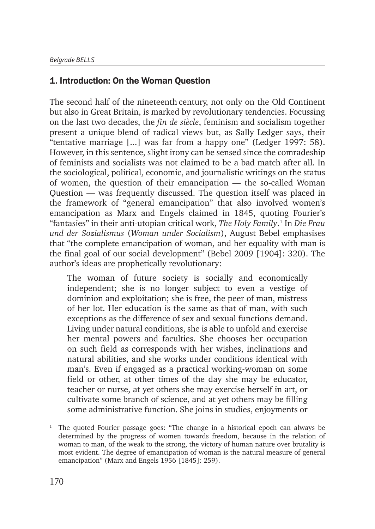## 1. Introduction: On the Woman Question

The second half of the nineteenth century, not only on the Old Continent but also in Great Britain, is marked by revolutionary tendencies. Focussing on the last two decades, the *fin de siècle*, feminism and socialism together present a unique blend of radical views but, as Sally Ledger says, their "tentative marriage [...] was far from a happy one" (Ledger 1997: 58). However, in this sentence, slight irony can be sensed since the comradeship of feminists and socialists was not claimed to be a bad match after all. In the sociological, political, economic, and journalistic writings on the status of women, the question of their emancipation — the so-called Woman Question — was frequently discussed. The question itself was placed in the framework of "general emancipation" that also involved women's emancipation as Marx and Engels claimed in 1845, quoting Fourier's "fantasies" in their anti-utopian critical work, *The Holy Family*.<sup>1</sup> In *Die Frau und der Sozialismus* (*Woman under Socialism*), August Bebel emphasises that "the complete emancipation of woman, and her equality with man is the final goal of our social development" (Bebel 2009 [1904]: 320). The author's ideas are prophetically revolutionary:

The woman of future society is socially and economically independent; she is no longer subject to even a vestige of dominion and exploitation; she is free, the peer of man, mistress of her lot. Her education is the same as that of man, with such exceptions as the difference of sex and sexual functions demand. Living under natural conditions, she is able to unfold and exercise her mental powers and faculties. She chooses her occupation on such field as corresponds with her wishes, inclinations and natural abilities, and she works under conditions identical with man's. Even if engaged as a practical working-woman on some field or other, at other times of the day she may be educator, teacher or nurse, at yet others she may exercise herself in art, or cultivate some branch of science, and at yet others may be filling some administrative function. She joins in studies, enjoyments or

<sup>1</sup> The quoted Fourier passage goes: "The change in a historical epoch can always be determined by the progress of women towards freedom, because in the relation of woman to man, of the weak to the strong, the victory of human nature over brutality is most evident. The degree of emancipation of woman is the natural measure of general emancipation" (Marx and Engels 1956 [1845]: 259).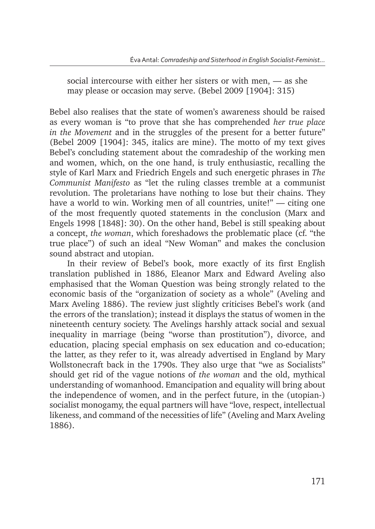social intercourse with either her sisters or with men, — as she may please or occasion may serve. (Bebel 2009 [1904]: 315)

Bebel also realises that the state of women's awareness should be raised as every woman is "to prove that she has comprehended *her true place in the Movement* and in the struggles of the present for a better future" (Bebel 2009 [1904]: 345, italics are mine). The motto of my text gives Bebel's concluding statement about the comradeship of the working men and women, which, on the one hand, is truly enthusiastic, recalling the style of Karl Marx and Friedrich Engels and such energetic phrases in *The Communist Manifesto* as "let the ruling classes tremble at a communist revolution. The proletarians have nothing to lose but their chains. They have a world to win. Working men of all countries, unite!" — citing one of the most frequently quoted statements in the conclusion (Marx and Engels 1998 [1848]: 30). On the other hand, Bebel is still speaking about a concept, *the woman*, which foreshadows the problematic place (cf. "the true place") of such an ideal "New Woman" and makes the conclusion sound abstract and utopian.

In their review of Bebel's book, more exactly of its first English translation published in 1886, Eleanor Marx and Edward Aveling also emphasised that the Woman Question was being strongly related to the economic basis of the "organization of society as a whole" (Aveling and Marx Aveling 1886). The review just slightly criticises Bebel's work (and the errors of the translation); instead it displays the status of women in the nineteenth century society. The Avelings harshly attack social and sexual inequality in marriage (being "worse than prostitution"), divorce, and education, placing special emphasis on sex education and co-education; the latter, as they refer to it, was already advertised in England by Mary Wollstonecraft back in the 1790s. They also urge that "we as Socialists" should get rid of the vague notions of *the woman* and the old, mythical understanding of womanhood. Emancipation and equality will bring about the independence of women, and in the perfect future, in the (utopian-) socialist monogamy, the equal partners will have "love, respect, intellectual likeness, and command of the necessities of life" (Aveling and Marx Aveling 1886).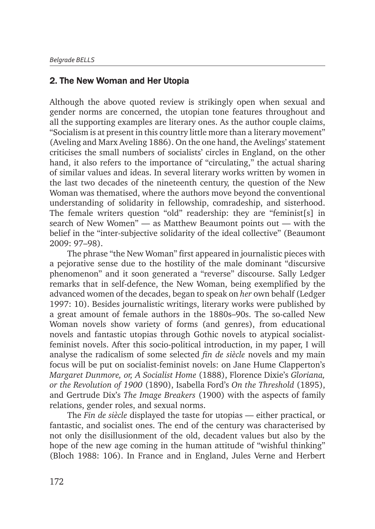#### 2. The New Woman and Her Utopia

Although the above quoted review is strikingly open when sexual and gender norms are concerned, the utopian tone features throughout and all the supporting examples are literary ones. As the author couple claims, "Socialism is at present in this country little more than a literary movement" (Aveling and Marx Aveling 1886). On the one hand, the Avelings' statement criticises the small numbers of socialists' circles in England, on the other hand, it also refers to the importance of "circulating," the actual sharing of similar values and ideas. In several literary works written by women in the last two decades of the nineteenth century, the question of the New Woman was thematised, where the authors move beyond the conventional understanding of solidarity in fellowship, comradeship, and sisterhood. The female writers question "old" readership: they are "feminist[s] in search of New Women" — as Matthew Beaumont points out — with the belief in the "inter-subjective solidarity of the ideal collective" (Beaumont 2009: 97–98).

The phrase "the New Woman" first appeared in journalistic pieces with a pejorative sense due to the hostility of the male dominant "discursive phenomenon" and it soon generated a "reverse" discourse. Sally Ledger remarks that in self-defence, the New Woman, being exemplified by the advanced women of the decades, began to speak on *her* own behalf (Ledger 1997: 10). Besides journalistic writings, literary works were published by a great amount of female authors in the 1880s–90s. The so-called New Woman novels show variety of forms (and genres), from educational novels and fantastic utopias through Gothic novels to atypical socialistfeminist novels. After this socio-political introduction, in my paper, I will analyse the radicalism of some selected *fin de siècle* novels and my main focus will be put on socialist-feminist novels: on Jane Hume Clapperton's *Margaret Dunmore, or, A Socialist Home* (1888), Florence Dixie's *Gloriana, or the Revolution of 1900* (1890), Isabella Ford's *On the Threshold* (1895), and Gertrude Dix's *The Image Breakers* (1900) with the aspects of family relations, gender roles, and sexual norms.

The *Fin de siècle* displayed the taste for utopias — either practical, or fantastic, and socialist ones. The end of the century was characterised by not only the disillusionment of the old, decadent values but also by the hope of the new age coming in the human attitude of "wishful thinking" (Bloch 1988: 106). In France and in England, Jules Verne and Herbert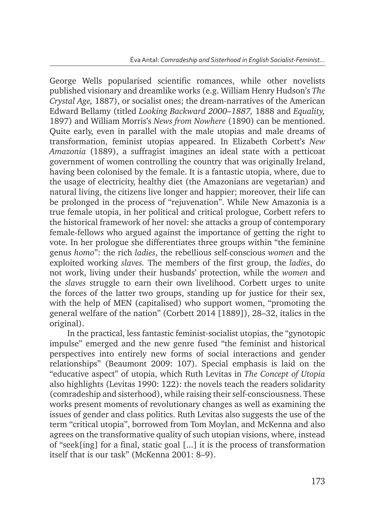George Wells popularised scientific romances, while other novelists published visionary and dreamlike works (e.g. William Henry Hudson's *The Crystal Age,* 1887), or socialist ones; the dream-narratives of the American Edward Bellamy (titled *Looking Backward 2000–1887,* 1888 and *Equality,*  1897) and William Morris's *News from Nowhere* (1890) can be mentioned. Quite early, even in parallel with the male utopias and male dreams of transformation, feminist utopias appeared. In Elizabeth Corbett's *New Amazonia* (1889), a suffragist imagines an ideal state with a petticoat government of women controlling the country that was originally Ireland, having been colonised by the female. It is a fantastic utopia, where, due to the usage of electricity, healthy diet (the Amazonians are vegetarian) and natural living, the citizens live longer and happier; moreover, their life can be prolonged in the process of "rejuvenation". While New Amazonia is a true female utopia, in her political and critical prologue, Corbett refers to the historical framework of her novel: she attacks a group of contemporary female-fellows who argued against the importance of getting the right to vote. In her prologue she differentiates three groups within "the feminine genus *homo*": the rich *ladies*, the rebellious self-conscious *women* and the exploited working *slaves.* The members of the first group, the *ladies*, do not work, living under their husbands' protection, while the *women* and the *slaves* struggle to earn their own livelihood. Corbett urges to unite the forces of the latter two groups, standing up for justice for their sex, with the help of MEN (capitalised) who support women, "promoting the general welfare of the nation" (Corbett 2014 [1889]), 28–32, italics in the original).

In the practical, less fantastic feminist-socialist utopias, the "gynotopic impulse" emerged and the new genre fused "the feminist and historical perspectives into entirely new forms of social interactions and gender relationships" (Beaumont 2009: 107). Special emphasis is laid on the "educative aspect" of utopia, which Ruth Levitas in *The Concept of Utopia*  also highlights (Levitas 1990: 122): the novels teach the readers solidarity (comradeship and sisterhood), while raising their self-consciousness. These works present moments of revolutionary changes as well as examining the issues of gender and class politics. Ruth Levitas also suggests the use of the term "critical utopia", borrowed from Tom Moylan, and McKenna and also agrees on the transformative quality of such utopian visions, where, instead of "seek[ing] for a final, static goal [...] it is the process of transformation itself that is our task" (McKenna 2001: 8–9).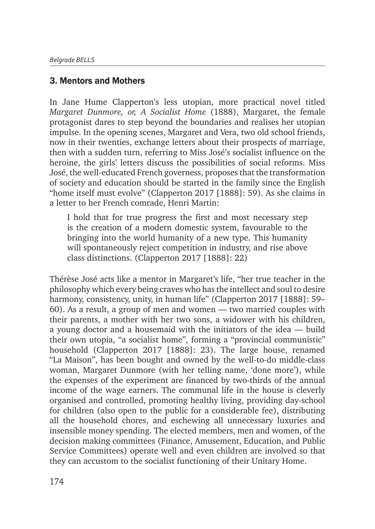#### 3. Mentors and Mothers

In Jane Hume Clapperton's less utopian, more practical novel titled *Margaret Dunmore, or, A Socialist Home* (1888), Margaret, the female protagonist dares to step beyond the boundaries and realises her utopian impulse. In the opening scenes, Margaret and Vera, two old school friends, now in their twenties, exchange letters about their prospects of marriage, then with a sudden turn, referring to Miss José's socialist influence on the heroine, the girls' letters discuss the possibilities of social reforms. Miss José, the well-educated French governess, proposes that the transformation of society and education should be started in the family since the English "home itself must evolve" (Clapperton 2017 [1888]: 59). As she claims in a letter to her French comrade, Henri Martin:

I hold that for true progress the first and most necessary step is the creation of a modern domestic system, favourable to the bringing into the world humanity of a new type. This humanity will spontaneously reject competition in industry, and rise above class distinctions. (Clapperton 2017 [1888]: 22)

Thérèse José acts like a mentor in Margaret's life, "her true teacher in the philosophy which every being craves who has the intellect and soul to desire harmony, consistency, unity, in human life" (Clapperton 2017 [1888]: 59-60). As a result, a group of men and women — two married couples with their parents, a mother with her two sons, a widower with his children, a young doctor and a housemaid with the initiators of the idea — build their own utopia, "a socialist home", forming a "provincial communistic" household (Clapperton 2017 [1888]: 23). The large house, renamed "La Maison", has been bought and owned by the well-to-do middle-class woman, Margaret Dunmore (with her telling name, 'done more'), while the expenses of the experiment are financed by two-thirds of the annual income of the wage earners. The communal life in the house is cleverly organised and controlled, promoting healthy living, providing day-school for children (also open to the public for a considerable fee), distributing all the household chores, and eschewing all unnecessary luxuries and insensible money spending. The elected members, men and women, of the decision making committees (Finance, Amusement, Education, and Public Service Committees) operate well and even children are involved so that they can accustom to the socialist functioning of their Unitary Home.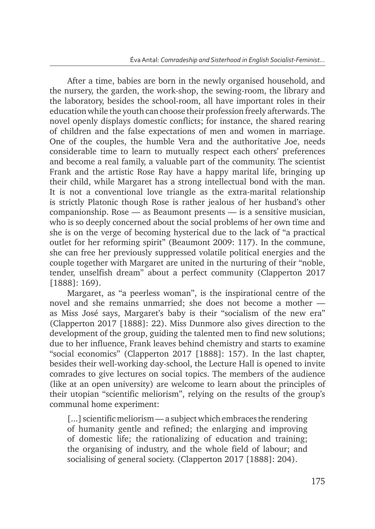After a time, babies are born in the newly organised household, and the nursery, the garden, the work-shop, the sewing-room, the library and the laboratory, besides the school-room, all have important roles in their education while the youth can choose their profession freely afterwards. The novel openly displays domestic conflicts; for instance, the shared rearing of children and the false expectations of men and women in marriage. One of the couples, the humble Vera and the authoritative Joe, needs considerable time to learn to mutually respect each others' preferences and become a real family, a valuable part of the community. The scientist Frank and the artistic Rose Ray have a happy marital life, bringing up their child, while Margaret has a strong intellectual bond with the man. It is not a conventional love triangle as the extra-marital relationship is strictly Platonic though Rose is rather jealous of her husband's other companionship. Rose — as Beaumont presents — is a sensitive musician, who is so deeply concerned about the social problems of her own time and she is on the verge of becoming hysterical due to the lack of "a practical outlet for her reforming spirit" (Beaumont 2009: 117). In the commune, she can free her previously suppressed volatile political energies and the couple together with Margaret are united in the nurturing of their "noble, tender, unselfish dream" about a perfect community (Clapperton 2017 [1888]: 169).

Margaret, as "a peerless woman", is the inspirational centre of the novel and she remains unmarried; she does not become a mother as Miss José says, Margaret's baby is their "socialism of the new era" (Clapperton 2017 [1888]: 22). Miss Dunmore also gives direction to the development of the group, guiding the talented men to find new solutions; due to her influence, Frank leaves behind chemistry and starts to examine "social economics" (Clapperton 2017 [1888]: 157). In the last chapter, besides their well-working day-school, the Lecture Hall is opened to invite comrades to give lectures on social topics. The members of the audience (like at an open university) are welcome to learn about the principles of their utopian "scientific meliorism", relying on the results of the group's communal home experiment:

[...] scientific meliorism — a subject which embraces the rendering of humanity gentle and refined; the enlarging and improving of domestic life; the rationalizing of education and training; the organising of industry, and the whole field of labour; and socialising of general society. (Clapperton 2017 [1888]: 204).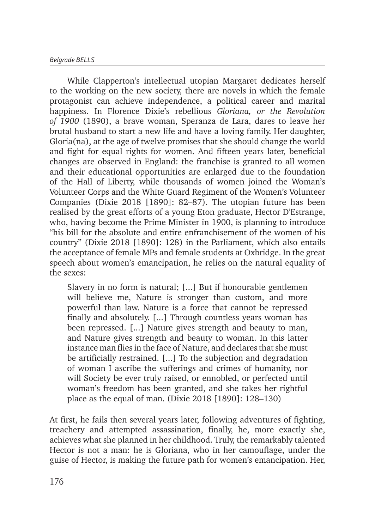While Clapperton's intellectual utopian Margaret dedicates herself to the working on the new society, there are novels in which the female protagonist can achieve independence, a political career and marital happiness. In Florence Dixie's rebellious *Gloriana, or the Revolution of 1900* (1890), a brave woman, Speranza de Lara, dares to leave her brutal husband to start a new life and have a loving family. Her daughter, Gloria(na), at the age of twelve promises that she should change the world and fight for equal rights for women. And fifteen years later, beneficial changes are observed in England: the franchise is granted to all women and their educational opportunities are enlarged due to the foundation of the Hall of Liberty, while thousands of women joined the Woman's Volunteer Corps and the White Guard Regiment of the Women's Volunteer Companies (Dixie 2018 [1890]: 82–87). The utopian future has been realised by the great efforts of a young Eton graduate, Hector D'Estrange, who, having become the Prime Minister in 1900, is planning to introduce "his bill for the absolute and entire enfranchisement of the women of his country" (Dixie 2018 [1890]: 128) in the Parliament, which also entails the acceptance of female MPs and female students at Oxbridge. In the great speech about women's emancipation, he relies on the natural equality of the sexes:

Slavery in no form is natural; [...] But if honourable gentlemen will believe me, Nature is stronger than custom, and more powerful than law. Nature is a force that cannot be repressed finally and absolutely. [...] Through countless years woman has been repressed. [...] Nature gives strength and beauty to man, and Nature gives strength and beauty to woman. In this latter instance man flies in the face of Nature, and declares that she must be artificially restrained. [...] To the subjection and degradation of woman I ascribe the sufferings and crimes of humanity, nor will Society be ever truly raised, or ennobled, or perfected until woman's freedom has been granted, and she takes her rightful place as the equal of man. (Dixie 2018 [1890]: 128–130)

At first, he fails then several years later, following adventures of fighting, treachery and attempted assassination, finally, he, more exactly she, achieves what she planned in her childhood. Truly, the remarkably talented Hector is not a man: he is Gloriana, who in her camouflage, under the guise of Hector, is making the future path for women's emancipation. Her,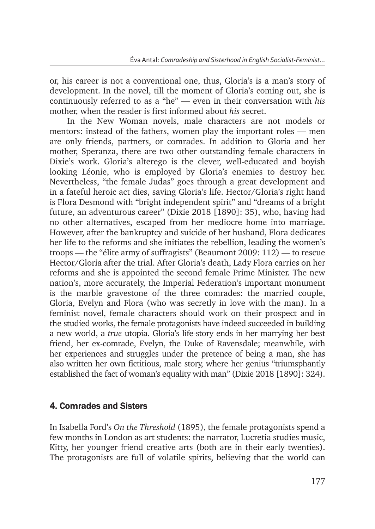or, his career is not a conventional one, thus, Gloria's is a man's story of development. In the novel, till the moment of Gloria's coming out, she is continuously referred to as a "he" — even in their conversation with *his*  mother, when the reader is first informed about *his* secret.

In the New Woman novels, male characters are not models or mentors: instead of the fathers, women play the important roles — men are only friends, partners, or comrades. In addition to Gloria and her mother, Speranza, there are two other outstanding female characters in Dixie's work. Gloria's alterego is the clever, well-educated and boyish looking Léonie, who is employed by Gloria's enemies to destroy her. Nevertheless, "the female Judas" goes through a great development and in a fateful heroic act dies, saving Gloria's life. Hector/Gloria's right hand is Flora Desmond with "bright independent spirit" and "dreams of a bright future, an adventurous career" (Dixie 2018 [1890]: 35), who, having had no other alternatives, escaped from her mediocre home into marriage. However, after the bankruptcy and suicide of her husband, Flora dedicates her life to the reforms and she initiates the rebellion, leading the women's troops — the "élite army of suffragists" (Beaumont 2009: 112) — to rescue Hector/Gloria after the trial. After Gloria's death, Lady Flora carries on her reforms and she is appointed the second female Prime Minister. The new nation's, more accurately, the Imperial Federation's important monument is the marble gravestone of the three comrades: the married couple, Gloria, Evelyn and Flora (who was secretly in love with the man). In a feminist novel, female characters should work on their prospect and in the studied works, the female protagonists have indeed succeeded in building a new world, a *true* utopia. Gloria's life-story ends in her marrying her best friend, her ex-comrade, Evelyn, the Duke of Ravensdale; meanwhile, with her experiences and struggles under the pretence of being a man, she has also written her own fictitious, male story, where her genius "triumsphantly established the fact of woman's equality with man" (Dixie 2018 [1890]: 324).

# 4. Comrades and Sisters

In Isabella Ford's *On the Threshold* (1895), the female protagonists spend a few months in London as art students: the narrator, Lucretia studies music, Kitty, her younger friend creative arts (both are in their early twenties). The protagonists are full of volatile spirits, believing that the world can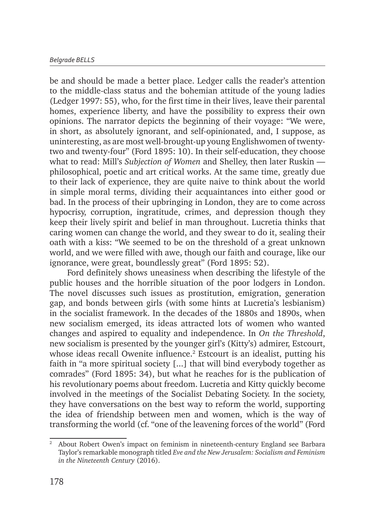be and should be made a better place. Ledger calls the reader's attention to the middle-class status and the bohemian attitude of the young ladies (Ledger 1997: 55), who, for the first time in their lives, leave their parental homes, experience liberty, and have the possibility to express their own opinions. The narrator depicts the beginning of their voyage: "We were, in short, as absolutely ignorant, and self-opinionated, and, I suppose, as uninteresting, as are most well-brought-up young Englishwomen of twentytwo and twenty-four" (Ford 1895: 10). In their self-education, they choose what to read: Mill's *Subjection of Women* and Shelley, then later Ruskin philosophical, poetic and art critical works. At the same time, greatly due to their lack of experience, they are quite naive to think about the world in simple moral terms, dividing their acquaintances into either good or bad. In the process of their upbringing in London, they are to come across hypocrisy, corruption, ingratitude, crimes, and depression though they keep their lively spirit and belief in man throughout. Lucretia thinks that caring women can change the world, and they swear to do it, sealing their oath with a kiss: "We seemed to be on the threshold of a great unknown world, and we were filled with awe, though our faith and courage, like our ignorance, were great, boundlessly great" (Ford 1895: 52).

Ford definitely shows uneasiness when describing the lifestyle of the public houses and the horrible situation of the poor lodgers in London. The novel discusses such issues as prostitution, emigration, generation gap, and bonds between girls (with some hints at Lucretia's lesbianism) in the socialist framework. In the decades of the 1880s and 1890s, when new socialism emerged, its ideas attracted lots of women who wanted changes and aspired to equality and independence. In *On the Threshold*, new socialism is presented by the younger girl's (Kitty's) admirer, Estcourt, whose ideas recall Owenite influence.<sup>2</sup> Estcourt is an idealist, putting his faith in "a more spiritual society [...] that will bind everybody together as comrades" (Ford 1895: 34), but what he reaches for is the publication of his revolutionary poems about freedom. Lucretia and Kitty quickly become involved in the meetings of the Socialist Debating Society. In the society, they have conversations on the best way to reform the world, supporting the idea of friendship between men and women, which is the way of transforming the world (cf. "one of the leavening forces of the world" (Ford

<sup>&</sup>lt;sup>2</sup> About Robert Owen's impact on feminism in nineteenth-century England see Barbara Taylor's remarkable monograph titled *Eve and the New Jerusalem: Socialism and Feminism in the Nineteenth Century* (2016).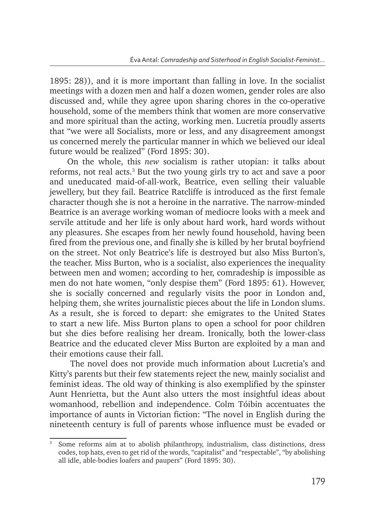1895: 28)), and it is more important than falling in love. In the socialist meetings with a dozen men and half a dozen women, gender roles are also discussed and, while they agree upon sharing chores in the co-operative household, some of the members think that women are more conservative and more spiritual than the acting, working men. Lucretia proudly asserts that "we were all Socialists, more or less, and any disagreement amongst us concerned merely the particular manner in which we believed our ideal future would be realized" (Ford 1895: 30).

On the whole, this *new* socialism is rather utopian: it talks about reforms, not real acts.<sup>3</sup> But the two young girls try to act and save a poor and uneducated maid-of-all-work, Beatrice, even selling their valuable jewellery, but they fail. Beatrice Ratcliffe is introduced as the first female character though she is not a heroine in the narrative. The narrow-minded Beatrice is an average working woman of mediocre looks with a meek and servile attitude and her life is only about hard work, hard words without any pleasures. She escapes from her newly found household, having been fired from the previous one, and finally she is killed by her brutal boyfriend on the street. Not only Beatrice's life is destroyed but also Miss Burton's, the teacher. Miss Burton, who is a socialist, also experiences the inequality between men and women; according to her, comradeship is impossible as men do not hate women, "only despise them" (Ford 1895: 61). However, she is socially concerned and regularly visits the poor in London and, helping them, she writes journalistic pieces about the life in London slums. As a result, she is forced to depart: she emigrates to the United States to start a new life. Miss Burton plans to open a school for poor children but she dies before realising her dream. Ironically, both the lower-class Beatrice and the educated clever Miss Burton are exploited by a man and their emotions cause their fall.

 The novel does not provide much information about Lucretia's and Kitty's parents but their few statements reject the new, mainly socialist and feminist ideas. The old way of thinking is also exemplified by the spinster Aunt Henrietta, but the Aunt also utters the most insightful ideas about womanhood, rebellion and independence. Colm Tóibin accentuates the importance of aunts in Victorian fiction: "The novel in English during the nineteenth century is full of parents whose influence must be evaded or

<sup>&</sup>lt;sup>3</sup> Some reforms aim at to abolish philanthropy, industrialism, class distinctions, dress codes, top hats, even to get rid of the words, "capitalist" and "respectable", "by abolishing all idle, able-bodies loafers and paupers" (Ford 1895: 30).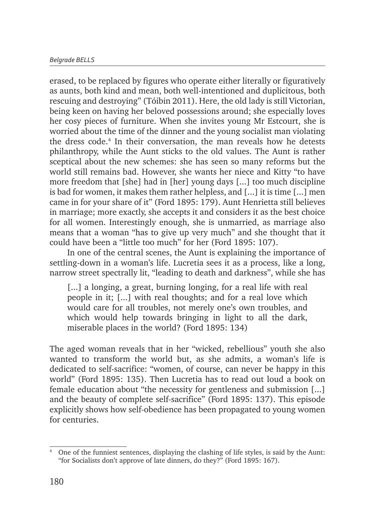erased, to be replaced by figures who operate either literally or figuratively as aunts, both kind and mean, both well-intentioned and duplicitous, both rescuing and destroying" (Tóibin 2011). Here, the old lady is still Victorian, being keen on having her beloved possessions around; she especially loves her cosy pieces of furniture. When she invites young Mr Estcourt, she is worried about the time of the dinner and the young socialist man violating the dress code.4 In their conversation, the man reveals how he detests philanthropy, while the Aunt sticks to the old values. The Aunt is rather sceptical about the new schemes: she has seen so many reforms but the world still remains bad. However, she wants her niece and Kitty "to have more freedom that [she] had in [her] young days [...] too much discipline is bad for women, it makes them rather helpless, and [...] it is time [...] men came in for your share of it" (Ford 1895: 179). Aunt Henrietta still believes in marriage; more exactly, she accepts it and considers it as the best choice for all women. Interestingly enough, she is unmarried, as marriage also means that a woman "has to give up very much" and she thought that it could have been a "little too much" for her (Ford 1895: 107).

In one of the central scenes, the Aunt is explaining the importance of settling-down in a woman's life. Lucretia sees it as a process, like a long, narrow street spectrally lit, "leading to death and darkness", while she has

[...] a longing, a great, burning longing, for a real life with real people in it; [...] with real thoughts; and for a real love which would care for all troubles, not merely one's own troubles, and which would help towards bringing in light to all the dark, miserable places in the world? (Ford 1895: 134)

The aged woman reveals that in her "wicked, rebellious" youth she also wanted to transform the world but, as she admits, a woman's life is dedicated to self-sacrifice: "women, of course, can never be happy in this world" (Ford 1895: 135). Then Lucretia has to read out loud a book on female education about "the necessity for gentleness and submission [...] and the beauty of complete self-sacrifice" (Ford 1895: 137). This episode explicitly shows how self-obedience has been propagated to young women for centuries.

<sup>4</sup> One of the funniest sentences, displaying the clashing of life styles, is said by the Aunt: "for Socialists don't approve of late dinners, do they?" (Ford 1895: 167).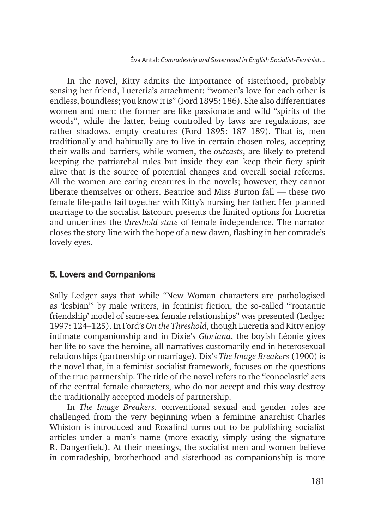In the novel, Kitty admits the importance of sisterhood, probably sensing her friend, Lucretia's attachment: "women's love for each other is endless, boundless; you know it is" (Ford 1895: 186). She also differentiates women and men: the former are like passionate and wild "spirits of the woods", while the latter, being controlled by laws are regulations, are rather shadows, empty creatures (Ford 1895: 187–189). That is, men traditionally and habitually are to live in certain chosen roles, accepting their walls and barriers, while women, the *outcasts*, are likely to pretend keeping the patriarchal rules but inside they can keep their fiery spirit alive that is the source of potential changes and overall social reforms. All the women are caring creatures in the novels; however, they cannot liberate themselves or others. Beatrice and Miss Burton fall — these two female life-paths fail together with Kitty's nursing her father. Her planned marriage to the socialist Estcourt presents the limited options for Lucretia and underlines the *threshold state* of female independence. The narrator closes the story-line with the hope of a new dawn, flashing in her comrade's lovely eyes.

### 5. Lovers and Companions

Sally Ledger says that while "New Woman characters are pathologised as 'lesbian'" by male writers, in feminist fiction, the so-called "'romantic friendship' model of same-sex female relationships" was presented (Ledger 1997: 124–125). In Ford's *On the Threshold*, though Lucretia and Kitty enjoy intimate companionship and in Dixie's *Gloriana*, the boyish Léonie gives her life to save the heroine, all narratives customarily end in heterosexual relationships (partnership or marriage). Dix's *The Image Breakers* (1900) is the novel that, in a feminist-socialist framework, focuses on the questions of the true partnership. The title of the novel refers to the 'iconoclastic' acts of the central female characters, who do not accept and this way destroy the traditionally accepted models of partnership.

In *The Image Breakers*, conventional sexual and gender roles are challenged from the very beginning when a feminine anarchist Charles Whiston is introduced and Rosalind turns out to be publishing socialist articles under a man's name (more exactly, simply using the signature R. Dangerfield). At their meetings, the socialist men and women believe in comradeship, brotherhood and sisterhood as companionship is more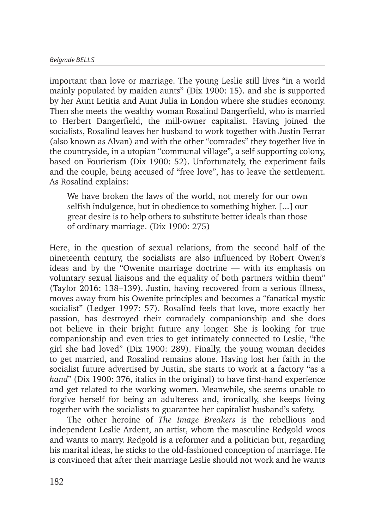important than love or marriage. The young Leslie still lives "in a world mainly populated by maiden aunts" (Dix 1900: 15). and she is supported by her Aunt Letitia and Aunt Julia in London where she studies economy. Then she meets the wealthy woman Rosalind Dangerfield, who is married to Herbert Dangerfield, the mill-owner capitalist. Having joined the socialists, Rosalind leaves her husband to work together with Justin Ferrar (also known as Alvan) and with the other "comrades" they together live in the countryside, in a utopian "communal village", a self-supporting colony, based on Fourierism (Dix 1900: 52). Unfortunately, the experiment fails and the couple, being accused of "free love", has to leave the settlement. As Rosalind explains:

We have broken the laws of the world, not merely for our own selfish indulgence, but in obedience to something higher. [...] our great desire is to help others to substitute better ideals than those of ordinary marriage. (Dix 1900: 275)

Here, in the question of sexual relations, from the second half of the nineteenth century, the socialists are also influenced by Robert Owen's ideas and by the "Owenite marriage doctrine — with its emphasis on voluntary sexual liaisons and the equality of both partners within them" (Taylor 2016: 138–139). Justin, having recovered from a serious illness, moves away from his Owenite principles and becomes a "fanatical mystic socialist" (Ledger 1997: 57). Rosalind feels that love, more exactly her passion, has destroyed their comradely companionship and she does not believe in their bright future any longer. She is looking for true companionship and even tries to get intimately connected to Leslie, "the girl she had loved" (Dix 1900: 289). Finally, the young woman decides to get married, and Rosalind remains alone. Having lost her faith in the socialist future advertised by Justin, she starts to work at a factory "as a *hand*" (Dix 1900: 376, italics in the original) to have first-hand experience and get related to the working women. Meanwhile, she seems unable to forgive herself for being an adulteress and, ironically, she keeps living together with the socialists to guarantee her capitalist husband's safety.

The other heroine of *The Image Breakers* is the rebellious and independent Leslie Ardent, an artist, whom the masculine Redgold woos and wants to marry. Redgold is a reformer and a politician but, regarding his marital ideas, he sticks to the old-fashioned conception of marriage. He is convinced that after their marriage Leslie should not work and he wants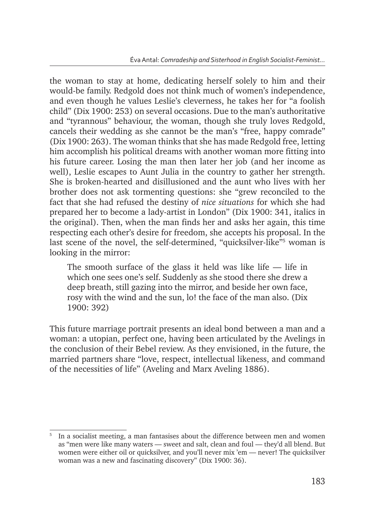the woman to stay at home, dedicating herself solely to him and their would-be family. Redgold does not think much of women's independence, and even though he values Leslie's cleverness, he takes her for "a foolish child" (Dix 1900: 253) on several occasions. Due to the man's authoritative and "tyrannous" behaviour, the woman, though she truly loves Redgold, cancels their wedding as she cannot be the man's "free, happy comrade" (Dix 1900: 263). The woman thinks that she has made Redgold free, letting him accomplish his political dreams with another woman more fitting into his future career. Losing the man then later her job (and her income as well), Leslie escapes to Aunt Julia in the country to gather her strength. She is broken-hearted and disillusioned and the aunt who lives with her brother does not ask tormenting questions: she "grew reconciled to the fact that she had refused the destiny of *nice situations* for which she had prepared her to become a lady-artist in London" (Dix 1900: 341, italics in the original). Then, when the man finds her and asks her again, this time respecting each other's desire for freedom, she accepts his proposal. In the last scene of the novel, the self-determined, "quicksilver-like"<sup>5</sup> woman is looking in the mirror:

The smooth surface of the glass it held was like life — life in which one sees one's self. Suddenly as she stood there she drew a deep breath, still gazing into the mirror, and beside her own face, rosy with the wind and the sun, lo! the face of the man also. (Dix 1900: 392)

This future marriage portrait presents an ideal bond between a man and a woman: a utopian, perfect one, having been articulated by the Avelings in the conclusion of their Bebel review. As they envisioned, in the future, the married partners share "love, respect, intellectual likeness, and command of the necessities of life" (Aveling and Marx Aveling 1886).

<sup>5</sup> In a socialist meeting, a man fantasises about the difference between men and women as "men were like many waters — sweet and salt, clean and foul — they'd all blend. But women were either oil or quicksilver, and you'll never mix 'em — never! The quicksilver woman was a new and fascinating discovery" (Dix 1900: 36).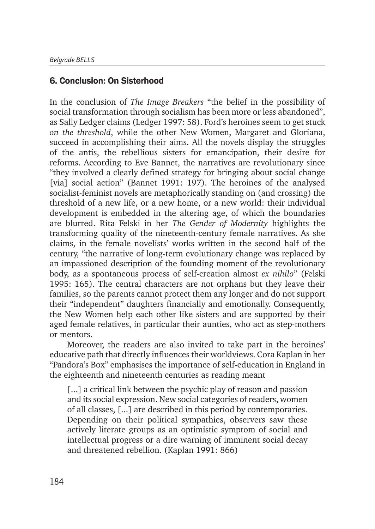### 6. Conclusion: On Sisterhood

In the conclusion of *The Image Breakers* "the belief in the possibility of social transformation through socialism has been more or less abandoned", as Sally Ledger claims (Ledger 1997: 58). Ford's heroines seem to get stuck *on the threshold*, while the other New Women, Margaret and Gloriana, succeed in accomplishing their aims. All the novels display the struggles of the antis, the rebellious sisters for emancipation, their desire for reforms. According to Eve Bannet, the narratives are revolutionary since "they involved a clearly defined strategy for bringing about social change [via] social action" (Bannet 1991: 197). The heroines of the analysed socialist-feminist novels are metaphorically standing on (and crossing) the threshold of a new life, or a new home, or a new world: their individual development is embedded in the altering age, of which the boundaries are blurred. Rita Felski in her *The Gender of Modernity* highlights the transforming quality of the nineteenth-century female narratives. As she claims, in the female novelists' works written in the second half of the century, "the narrative of long-term evolutionary change was replaced by an impassioned description of the founding moment of the revolutionary body, as a spontaneous process of self-creation almost *ex nihilo*" (Felski 1995: 165). The central characters are not orphans but they leave their families, so the parents cannot protect them any longer and do not support their "independent" daughters financially and emotionally. Consequently, the New Women help each other like sisters and are supported by their aged female relatives, in particular their aunties, who act as step-mothers or mentors.

Moreover, the readers are also invited to take part in the heroines' educative path that directly influences their worldviews. Cora Kaplan in her "Pandora's Box" emphasises the importance of self-education in England in the eighteenth and nineteenth centuries as reading meant

[...] a critical link between the psychic play of reason and passion and its social expression. New social categories of readers, women of all classes, [...] are described in this period by contemporaries. Depending on their political sympathies, observers saw these actively literate groups as an optimistic symptom of social and intellectual progress or a dire warning of imminent social decay and threatened rebellion. (Kaplan 1991: 866)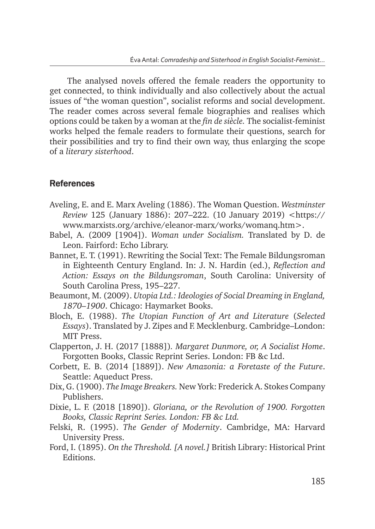The analysed novels offered the female readers the opportunity to get connected, to think individually and also collectively about the actual issues of "the woman question", socialist reforms and social development. The reader comes across several female biographies and realises which options could be taken by a woman at the *fin de siècle.* The socialist-feminist works helped the female readers to formulate their questions, search for their possibilities and try to find their own way, thus enlarging the scope of a *literary sisterhood*.

#### References

- Aveling, E. and E. Marx Aveling (1886). The Woman Question. *Westminster Review* 125 (January 1886): 207–222. (10 January 2019) <https:// www.marxists.org/archive/eleanor-marx/works/womanq.htm>.
- Babel, A. (2009 [1904]). *Woman under Socialism.* Translated by D. de Leon. Fairford: Echo Library.
- Bannet, E. T. (1991). Rewriting the Social Text: The Female Bildungsroman in Eighteenth Century England. In: J. N. Hardin (ed.), *Reflection and Action: Essays on the Bildungsroman*, South Carolina: University of South Carolina Press, 195–227.
- Beaumont, M. (2009). *Utopia Ltd.: Ideologies of Social Dreaming in England, 1870–1900*. Chicago: Haymarket Books.
- Bloch, E. (1988). *The Utopian Function of Art and Literature* (*Selected Essays*). Translated by J. Zipes and F. Mecklenburg. Cambridge–London: MIT Press.
- Clapperton, J. H. (2017 [1888])*. Margaret Dunmore, or, A Socialist Home*. Forgotten Books, Classic Reprint Series. London: FB &c Ltd.
- Corbett, E. B. (2014 [1889]). *New Amazonia: a Foretaste of the Future*. Seattle: Aqueduct Press.
- Dix, G. (1900). *The Image Breakers.* New York: Frederick A. Stokes Company Publishers.
- Dixie, L. F. (2018 [1890]). *Gloriana, or the Revolution of 1900. Forgotten Books, Classic Reprint Series. London: FB &c Ltd.*
- Felski, R. (1995). *The Gender of Modernity*. Cambridge, MA: Harvard University Press.
- Ford, I. (1895). *On the Threshold. [A novel.]* British Library: Historical Print Editions.